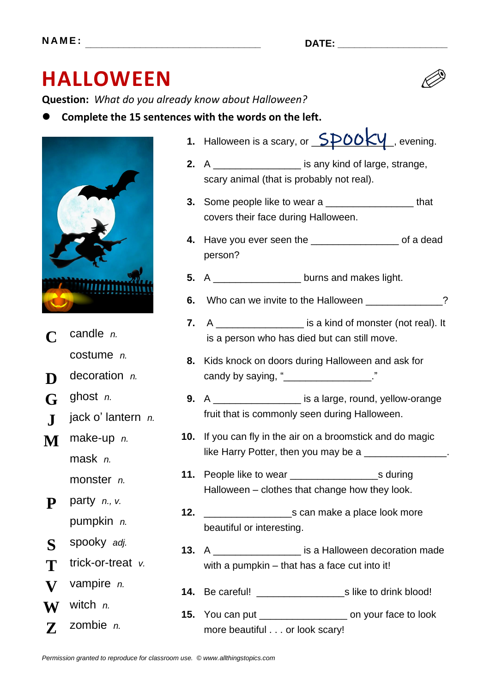# **HALLOWEEN**

**Question:** *What do you already know about Halloween?*

⚫ **Complete the 15 sentences with the words on the left.**



- **C** candle *n.* costume *n.*
- **D** decoration *n*.
- **G** ghost *n.*
- **J** jack o' lantern *n.*
- **M** make-up *n.* mask *n.* monster *n.*
- **P** party *n., v.*
	- pumpkin *n.*
- **S** spooky *adj.*
- **T** trick-or-treat *v*.
- **V** vampire *n.*
- **W** witch *n.*
- **Z** zombie *n.*
- 1. Halloween is a scary, or  $\sqrt{QPOKN}$ , evening.
- **2.** A \_\_\_\_\_\_\_\_\_\_\_\_\_\_\_\_ is any kind of large, strange, scary animal (that is probably not real).
- **3.** Some people like to wear a \_\_\_\_\_\_\_\_\_\_\_\_\_\_\_\_ that covers their face during Halloween.
- **4.** Have you ever seen the \_\_\_\_\_\_\_\_\_\_\_\_\_\_\_\_ of a dead person?
- **5.** A \_\_\_\_\_\_\_\_\_\_\_\_\_\_\_\_ burns and makes light.
- **6.** Who can we invite to the Halloween \_\_\_\_\_\_\_\_\_\_\_\_\_?
- **7.** A \_\_\_\_\_\_\_\_\_\_\_\_\_\_\_\_ is a kind of monster (not real). It is a person who has died but can still move.
- **8.** Kids knock on doors during Halloween and ask for candy by saying, "
- **9.** A \_\_\_\_\_\_\_\_\_\_\_\_\_\_\_\_ is a large, round, yellow-orange fruit that is commonly seen during Halloween.
- **10.** If you can fly in the air on a broomstick and do magic like Harry Potter, then you may be a \_\_\_\_\_\_\_\_\_\_\_\_\_
- **11.** People like to wear \_\_\_\_\_\_\_\_\_\_\_\_\_\_\_\_s during Halloween – clothes that change how they look.
- **12.** \_\_\_\_\_\_\_\_\_\_\_\_\_\_\_\_s can make a place look more beautiful or interesting.
- **13.** A \_\_\_\_\_\_\_\_\_\_\_\_\_\_\_\_ is a Halloween decoration made with a pumpkin – that has a face cut into it!
- **14.** Be careful! \_\_\_\_\_\_\_\_\_\_\_\_\_\_\_\_s like to drink blood!
- **15.** You can put \_\_\_\_\_\_\_\_\_\_\_\_\_\_\_\_ on your face to look more beautiful . . . or look scary!